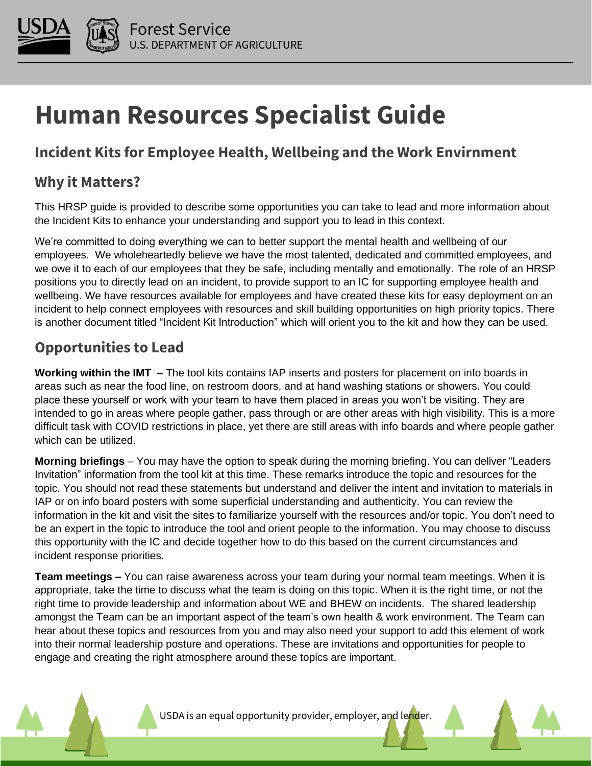

# **Human Resources Specialist Guide**

## **Incident Kits for Employee Health, Wellbeing and the Work Envirnment**

### **Why it Matters?**

This HRSP guide is provided to describe some opportunities you can take to lead and more information about the Incident Kits to enhance your understanding and support you to lead in this context.

We're committed to doing everything we can to better support the mental health and wellbeing of our employees. We wholeheartedly believe we have the most talented, dedicated and committed employees, and we owe it to each of our employees that they be safe, including mentally and emotionally. The role of an HRSP positions you to directly lead on an incident, to provide support to an IC for supporting employee health and wellbeing. We have resources available for employees and have created these kits for easy deployment on an incident to help connect employees with resources and skill building opportunities on high priority topics. There is another document titled "Incident Kit Introduction" which will orient you to the kit and how they can be used.

## **Opportunities to Lead**

**Working within the IMT** – The tool kits contains IAP inserts and posters for placement on info boards in areas such as near the food line, on restroom doors, and at hand washing stations or showers. You could place these yourself or work with your team to have them placed in areas you won't be visiting. They are intended to go in areas where people gather, pass through or are other areas with high visibility. This is a more difficult task with COVID restrictions in place, yet there are still areas with info boards and where people gather which can be utilized.

**Morning briefings** – You may have the option to speak during the morning briefing. You can deliver "Leaders Invitation" information from the tool kit at this time. These remarks introduce the topic and resources for the topic. You should not read these statements but understand and deliver the intent and invitation to materials in IAP or on info board posters with some superficial understanding and authenticity. You can review the information in the kit and visit the sites to familiarize yourself with the resources and/or topic. You don't need to be an expert in the topic to introduce the tool and orient people to the information. You may choose to discuss this opportunity with the IC and decide together how to do this based on the current circumstances and incident response priorities.

**Team meetings –** You can raise awareness across your team during your normal team meetings. When it is appropriate, take the time to discuss what the team is doing on this topic. When it is the right time, or not the right time to provide leadership and information about WE and BHEW on incidents. The shared leadership amongst the Team can be an important aspect of the team's own health & work environment. The Team can hear about these topics and resources from you and may also need your support to add this element of work into their normal leadership posture and operations. These are invitations and opportunities for people to engage and creating the right atmosphere around these topics are important.

USDA is an equal opportunity provider, employer, and lender.